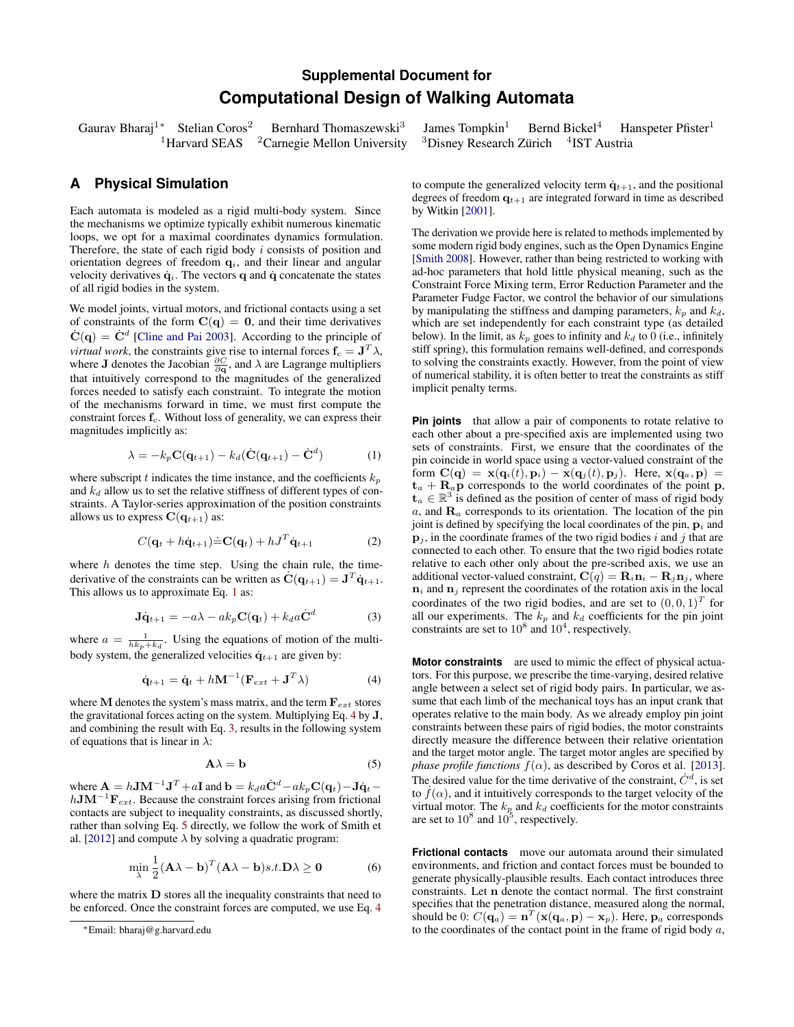## **Supplemental Document for Computational Design of Walking Automata**

Gaurav Bharaj<sup>1</sup>\* Stelian Coros<sup>2</sup> Bernhard Thomaszewski<sup>3</sup>  $1$ Harvard SEAS  $2$ Carnegie Mellon University

## **A Physical Simulation**

Each automata is modeled as a rigid multi-body system. Since the mechanisms we optimize typically exhibit numerous kinematic loops, we opt for a maximal coordinates dynamics formulation. Therefore, the state of each rigid body  $i$  consists of position and orientation degrees of freedom  $q_i$ , and their linear and angular velocity derivatives  $\dot{\mathbf{q}}_i$ . The vectors q and  $\dot{\mathbf{q}}$  concatenate the states of all rigid bodies in the system.

We model joints, virtual motors, and frictional contacts using a set of constraints of the form  $C(q) = 0$ , and their time derivatives  $\dot{\mathbf{C}}(\mathbf{q}) = \dot{\mathbf{C}}^d$  [\[Cline and Pai 2003\]](#page-1-0). According to the principle of *virtual work*, the constraints give rise to internal forces  $f_c = J^T \lambda$ , where **J** denotes the Jacobian  $\frac{\partial C}{\partial \mathbf{q}}$ , and  $\lambda$  are Lagrange multipliers that intuitively correspond to the magnitudes of the generalized forces needed to satisfy each constraint. To integrate the motion of the mechanisms forward in time, we must first compute the constraint forces  $f_c$ . Without loss of generality, we can express their magnitudes implicitly as:

<span id="page-0-0"></span>
$$
\lambda = -k_p \mathbf{C}(\mathbf{q}_{t+1}) - k_d (\dot{\mathbf{C}}(\mathbf{q}_{t+1}) - \dot{\mathbf{C}}^d)
$$
 (1)

where subscript t indicates the time instance, and the coefficients  $k_p$ and  $k_d$  allow us to set the relative stiffness of different types of constraints. A Taylor-series approximation of the position constraints allows us to express  $C(\mathbf{q}_{t+1})$  as:

$$
C(\mathbf{q}_t + h\dot{\mathbf{q}}_{t+1}) \dot{=} \mathbf{C}(\mathbf{q}_t) + hJ^T \dot{\mathbf{q}}_{t+1}
$$
 (2)

where  $h$  denotes the time step. Using the chain rule, the timederivative of the constraints can be written as  $\dot{\mathbf{C}}(\mathbf{q}_{t+1}) = \mathbf{J}^T \dot{\mathbf{q}}_{t+1}$ . This allows us to approximate Eq. [1](#page-0-0) as:

<span id="page-0-2"></span>
$$
\mathbf{J}\dot{\mathbf{q}}_{t+1} = -a\lambda - ak_p \mathbf{C}(\mathbf{q}_t) + k_d a \dot{\mathbf{C}}^d \tag{3}
$$

where  $a = \frac{1}{hk_p + k_d}$ . Using the equations of motion of the multibody system, the generalized velocities  $\dot{\mathbf{q}}_{t+1}$  are given by:

$$
\dot{\mathbf{q}}_{t+1} = \dot{\mathbf{q}}_t + h\mathbf{M}^{-1}(\mathbf{F}_{ext} + \mathbf{J}^T \lambda)
$$
(4)

where M denotes the system's mass matrix, and the term  $\mathbf{F}_{ext}$  stores the gravitational forces acting on the system. Multiplying Eq. [4](#page-0-1) by J, and combining the result with Eq. [3,](#page-0-2) results in the following system of equations that is linear in  $\lambda$ :

<span id="page-0-3"></span>
$$
\mathbf{A}\lambda = \mathbf{b} \tag{5}
$$

where  $\mathbf{A} = h \mathbf{J} \mathbf{M}^{-1} \mathbf{J}^T + a \mathbf{I}$  and  $\mathbf{b} = k_d a \dot{\mathbf{C}}^d - ak_p \mathbf{C}(\mathbf{q}_t) - \mathbf{J} \dot{\mathbf{q}}_t$  $hJM^{-1}F_{ext}$ . Because the constraint forces arising from frictional contacts are subject to inequality constraints, as discussed shortly, rather than solving Eq. [5](#page-0-3) directly, we follow the work of Smith et al. [\[2012\]](#page-1-1) and compute  $\lambda$  by solving a quadratic program:

$$
\min_{\lambda} \frac{1}{2} (\mathbf{A}\lambda - \mathbf{b})^T (\mathbf{A}\lambda - \mathbf{b}) s.t. \mathbf{D}\lambda \ge \mathbf{0}
$$
 (6)

where the matrix  **stores all the inequality constraints that need to** be enforced. Once the constraint forces are computed, we use Eq. [4](#page-0-1) James Tompkin<sup>1</sup> Bernd Bickel<sup>4</sup> Hanspeter Pfister<sup>1</sup> 4 IST Austria

to compute the generalized velocity term  $\dot{q}_{t+1}$ , and the positional degrees of freedom  $q_{t+1}$  are integrated forward in time as described by Witkin [\[2001\]](#page-1-2).

The derivation we provide here is related to methods implemented by some modern rigid body engines, such as the Open Dynamics Engine [\[Smith 2008\]](#page-1-3). However, rather than being restricted to working with ad-hoc parameters that hold little physical meaning, such as the Constraint Force Mixing term, Error Reduction Parameter and the Parameter Fudge Factor, we control the behavior of our simulations by manipulating the stiffness and damping parameters,  $k_p$  and  $k_d$ , which are set independently for each constraint type (as detailed below). In the limit, as  $k_p$  goes to infinity and  $k_d$  to 0 (i.e., infinitely stiff spring), this formulation remains well-defined, and corresponds to solving the constraints exactly. However, from the point of view of numerical stability, it is often better to treat the constraints as stiff implicit penalty terms.

**Pin joints** that allow a pair of components to rotate relative to each other about a pre-specified axis are implemented using two sets of constraints. First, we ensure that the coordinates of the pin coincide in world space using a vector-valued constraint of the form  $\mathbf{C}(\mathbf{q}) = \mathbf{x}(\mathbf{q}_i(t), \mathbf{p}_i) - \mathbf{x}(\mathbf{q}_j(t), \mathbf{p}_j)$ . Here,  $\mathbf{x}(\mathbf{q}_a, \mathbf{p}) =$  $t_a + R_a p$  corresponds to the world coordinates of the point p,  $t_a \in \mathbb{R}^3$  is defined as the position of center of mass of rigid body  $a$ , and  $\mathbf{R}_a$  corresponds to its orientation. The location of the pin joint is defined by specifying the local coordinates of the pin,  $\mathbf{p}_i$  and  $\mathbf{p}_i$ , in the coordinate frames of the two rigid bodies i and j that are connected to each other. To ensure that the two rigid bodies rotate relative to each other only about the pre-scribed axis, we use an additional vector-valued constraint,  $\mathbf{C}(q) = \mathbf{R}_i \mathbf{n}_i - \mathbf{R}_j \mathbf{n}_j$ , where  $n_i$  and  $n_j$  represent the coordinates of the rotation axis in the local coordinates of the two rigid bodies, and are set to  $(0,0,1)^T$  for all our experiments. The  $k_p$  and  $k_d$  coefficients for the pin joint constraints are set to  $10^8$  and  $10^4$ , respectively.

<span id="page-0-1"></span>**Motor constraints** are used to mimic the effect of physical actuators. For this purpose, we prescribe the time-varying, desired relative angle between a select set of rigid body pairs. In particular, we assume that each limb of the mechanical toys has an input crank that operates relative to the main body. As we already employ pin joint constraints between these pairs of rigid bodies, the motor constraints directly measure the difference between their relative orientation and the target motor angle. The target motor angles are specified by *phase profile functions*  $f(\alpha)$ , as described by Coros et al. [\[2013\]](#page-1-4). The desired value for the time derivative of the constraint,  $\dot{C}^d$ , is set to  $f(\alpha)$ , and it intuitively corresponds to the target velocity of the virtual motor. The  $k_p$  and  $k_d$  coefficients for the motor constraints are set to  $10^8$  and  $10^5$ , respectively.

**Frictional contacts** move our automata around their simulated environments, and friction and contact forces must be bounded to generate physically-plausible results. Each contact introduces three constraints. Let n denote the contact normal. The first constraint specifies that the penetration distance, measured along the normal, should be 0:  $C(\mathbf{q}_a) = \mathbf{n}^T(\mathbf{x}(\mathbf{q}_a, \mathbf{p}) - \mathbf{x}_p)$ . Here,  $\mathbf{p}_a$  corresponds to the coordinates of the contact point in the frame of rigid body  $a$ ,

<sup>∗</sup>Email: bharaj@g.harvard.edu